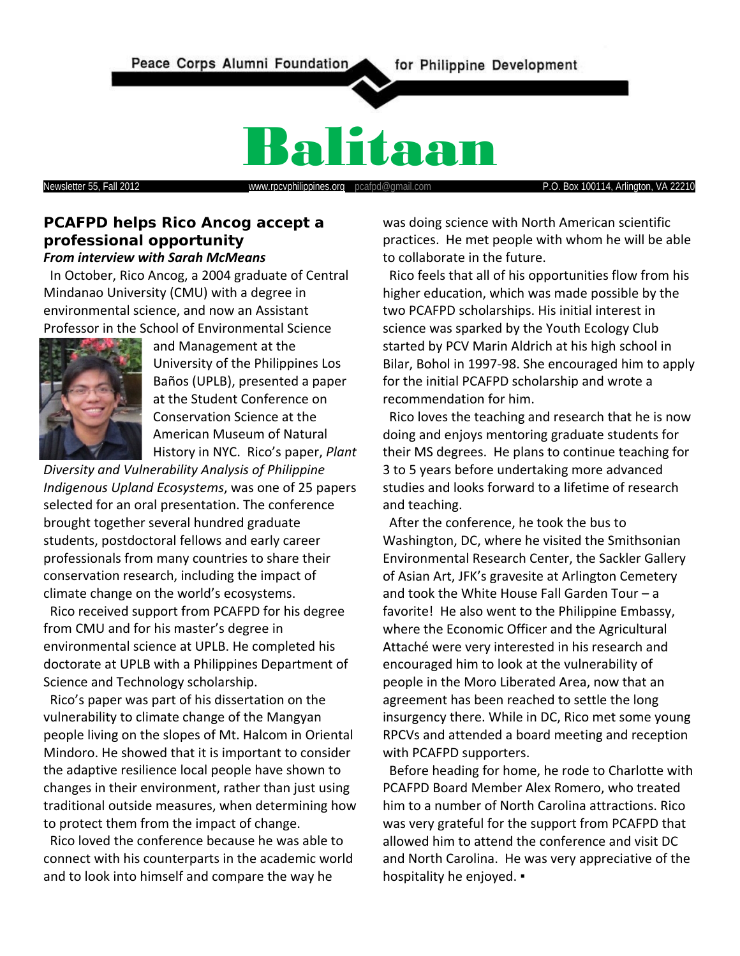

# Balitaan

Newsletter 55, Fall 2012 **www.rpcvphilippines.org** pcafpd@gmail.com **P.O. Box 100114, Arlington, VA 22210** 

#### **PCAFPD helps Rico Ancog accept a professional opportunity** *From interview with Sarah McMeans*

 In October, Rico Ancog, a 2004 graduate of Central Mindanao University (CMU) with a degree in environmental science, and now an Assistant Professor in the School of Environmental Science



and Management at the University of the Philippines Los Baños (UPLB), presented a paper at the Student Conference on Conservation Science at the American Museum of Natural History in NYC. Rico's paper, *Plant* 

*Diversity and Vulnerability Analysis of Philippine Indigenous Upland Ecosystems*, was one of 25 papers selected for an oral presentation. The conference brought together several hundred graduate students, postdoctoral fellows and early career professionals from many countries to share their conservation research, including the impact of climate change on the world's ecosystems.

 Rico received support from PCAFPD for his degree from CMU and for his master's degree in environmental science at UPLB. He completed his doctorate at UPLB with a Philippines Department of Science and Technology scholarship.

 Rico's paper was part of his dissertation on the vulnerability to climate change of the Mangyan people living on the slopes of Mt. Halcom in Oriental Mindoro. He showed that it is important to consider the adaptive resilience local people have shown to changes in their environment, rather than just using traditional outside measures, when determining how to protect them from the impact of change.

 Rico loved the conference because he was able to connect with his counterparts in the academic world and to look into himself and compare the way he

was doing science with North American scientific practices. He met people with whom he will be able to collaborate in the future.

 Rico feels that all of his opportunities flow from his higher education, which was made possible by the two PCAFPD scholarships. His initial interest in science was sparked by the Youth Ecology Club started by PCV Marin Aldrich at his high school in Bilar, Bohol in 1997-98. She encouraged him to apply for the initial PCAFPD scholarship and wrote a recommendation for him.

 Rico loves the teaching and research that he is now doing and enjoys mentoring graduate students for their MS degrees. He plans to continue teaching for 3 to 5 years before undertaking more advanced studies and looks forward to a lifetime of research and teaching.

 After the conference, he took the bus to Washington, DC, where he visited the Smithsonian Environmental Research Center, the Sackler Gallery of Asian Art, JFK's gravesite at Arlington Cemetery and took the White House Fall Garden Tour – a favorite! He also went to the Philippine Embassy, where the Economic Officer and the Agricultural Attaché were very interested in his research and encouraged him to look at the vulnerability of people in the Moro Liberated Area, now that an agreement has been reached to settle the long insurgency there. While in DC, Rico met some young RPCVs and attended a board meeting and reception with PCAFPD supporters.

 Before heading for home, he rode to Charlotte with PCAFPD Board Member Alex Romero, who treated him to a number of North Carolina attractions. Rico was very grateful for the support from PCAFPD that allowed him to attend the conference and visit DC and North Carolina. He was very appreciative of the hospitality he enjoyed. •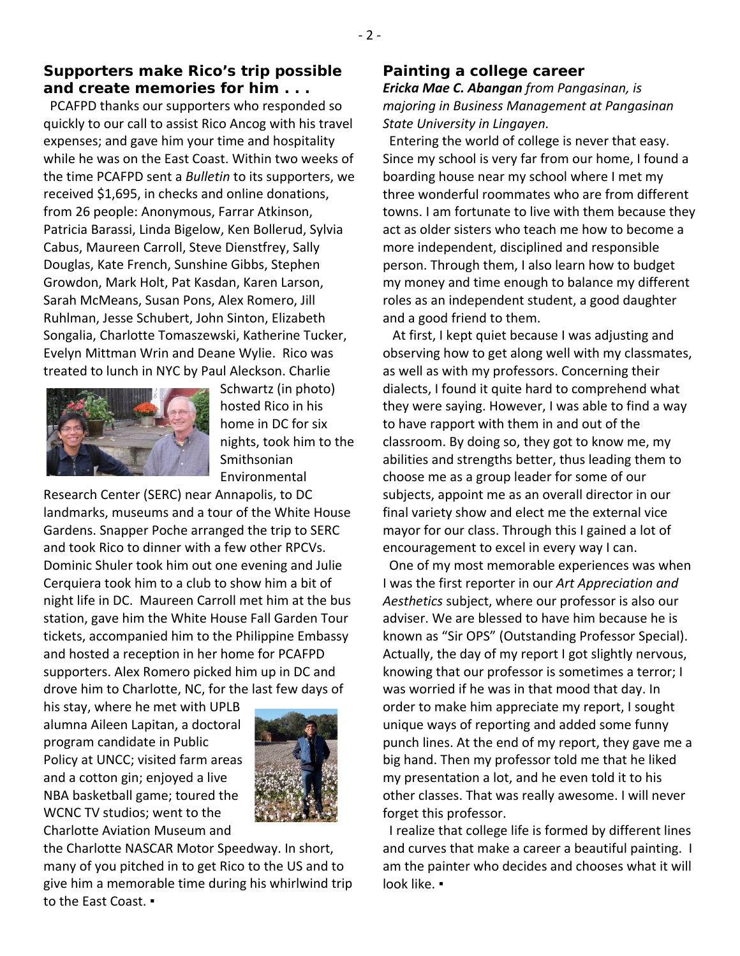#### **Supporters make Rico's trip possible and create memories for him . . .**

 PCAFPD thanks our supporters who responded so quickly to our call to assist Rico Ancog with his travel expenses; and gave him your time and hospitality while he was on the East Coast. Within two weeks of the time PCAFPD sent a *Bulletin* to its supporters, we received \$1,695, in checks and online donations, from 26 people: Anonymous, Farrar Atkinson, Patricia Barassi, Linda Bigelow, Ken Bollerud, Sylvia Cabus, Maureen Carroll, Steve Dienstfrey, Sally Douglas, Kate French, Sunshine Gibbs, Stephen Growdon, Mark Holt, Pat Kasdan, Karen Larson, Sarah McMeans, Susan Pons, Alex Romero, Jill Ruhlman, Jesse Schubert, John Sinton, Elizabeth Songalia, Charlotte Tomaszewski, Katherine Tucker, Evelyn Mittman Wrin and Deane Wylie. Rico was treated to lunch in NYC by Paul Aleckson. Charlie



Schwartz (in photo) hosted Rico in his home in DC for six nights, took him to the Smithsonian Environmental

Research Center (SERC) near Annapolis, to DC landmarks, museums and a tour of the White House Gardens. Snapper Poche arranged the trip to SERC and took Rico to dinner with a few other RPCVs. Dominic Shuler took him out one evening and Julie Cerquiera took him to a club to show him a bit of night life in DC. Maureen Carroll met him at the bus station, gave him the White House Fall Garden Tour tickets, accompanied him to the Philippine Embassy and hosted a reception in her home for PCAFPD supporters. Alex Romero picked him up in DC and drove him to Charlotte, NC, for the last few days of

his stay, where he met with UPLB alumna Aileen Lapitan, a doctoral program candidate in Public Policy at UNCC; visited farm areas and a cotton gin; enjoyed a live NBA basketball game; toured the WCNC TV studios; went to the Charlotte Aviation Museum and



the Charlotte NASCAR Motor Speedway. In short, many of you pitched in to get Rico to the US and to give him a memorable time during his whirlwind trip to the East Coast. ▪

#### **Painting a college career**

*Ericka Mae C. Abangan from Pangasinan, is majoring in Business Management at Pangasinan State University in Lingayen.*

 Entering the world of college is never that easy. Since my school is very far from our home, I found a boarding house near my school where I met my three wonderful roommates who are from different towns. I am fortunate to live with them because they act as older sisters who teach me how to become a more independent, disciplined and responsible person. Through them, I also learn how to budget my money and time enough to balance my different roles as an independent student, a good daughter and a good friend to them.

 At first, I kept quiet because I was adjusting and observing how to get along well with my classmates, as well as with my professors. Concerning their dialects, I found it quite hard to comprehend what they were saying. However, I was able to find a way to have rapport with them in and out of the classroom. By doing so, they got to know me, my abilities and strengths better, thus leading them to choose me as a group leader for some of our subjects, appoint me as an overall director in our final variety show and elect me the external vice mayor for our class. Through this I gained a lot of encouragement to excel in every way I can.

 One of my most memorable experiences was when I was the first reporter in our *Art Appreciation and Aesthetics* subject, where our professor is also our adviser. We are blessed to have him because he is known as "Sir OPS" (Outstanding Professor Special). Actually, the day of my report I got slightly nervous, knowing that our professor is sometimes a terror; I was worried if he was in that mood that day. In order to make him appreciate my report, I sought unique ways of reporting and added some funny punch lines. At the end of my report, they gave me a big hand. Then my professor told me that he liked my presentation a lot, and he even told it to his other classes. That was really awesome. I will never forget this professor.

 I realize that college life is formed by different lines and curves that make a career a beautiful painting. I am the painter who decides and chooses what it will look like. ▪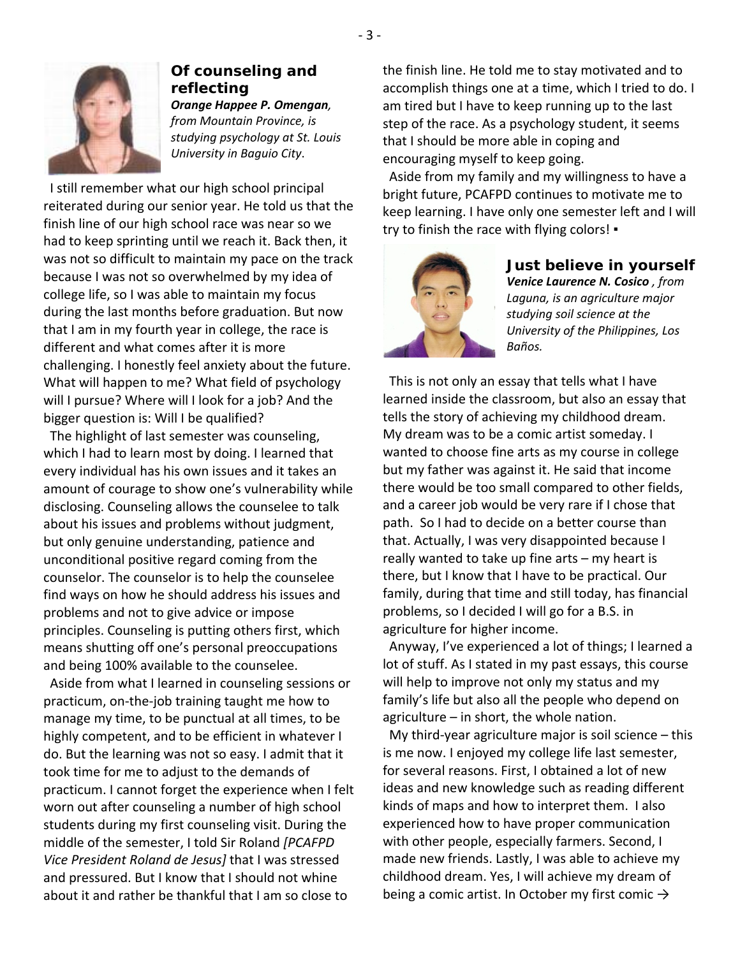

#### **Of counseling and reflecting** *Orange Happee P. Omengan, from Mountain Province, is studying psychology at St. Louis University in Baguio City*.

 I still remember what our high school principal reiterated during our senior year. He told us that the finish line of our high school race was near so we had to keep sprinting until we reach it. Back then, it was not so difficult to maintain my pace on the track because I was not so overwhelmed by my idea of college life, so I was able to maintain my focus during the last months before graduation. But now that I am in my fourth year in college, the race is different and what comes after it is more challenging. I honestly feel anxiety about the future. What will happen to me? What field of psychology will I pursue? Where will I look for a job? And the bigger question is: Will I be qualified?

 The highlight of last semester was counseling, which I had to learn most by doing. I learned that every individual has his own issues and it takes an amount of courage to show one's vulnerability while disclosing. Counseling allows the counselee to talk about his issues and problems without judgment, but only genuine understanding, patience and unconditional positive regard coming from the counselor. The counselor is to help the counselee find ways on how he should address his issues and problems and not to give advice or impose principles. Counseling is putting others first, which means shutting off one's personal preoccupations and being 100% available to the counselee.

 Aside from what I learned in counseling sessions or practicum, on-the-job training taught me how to manage my time, to be punctual at all times, to be highly competent, and to be efficient in whatever I do. But the learning was not so easy. I admit that it took time for me to adjust to the demands of practicum. I cannot forget the experience when I felt worn out after counseling a number of high school students during my first counseling visit. During the middle of the semester, I told Sir Roland *[PCAFPD Vice President Roland de Jesus]* that I was stressed and pressured. But I know that I should not whine about it and rather be thankful that I am so close to

the finish line. He told me to stay motivated and to accomplish things one at a time, which I tried to do. I am tired but I have to keep running up to the last step of the race. As a psychology student, it seems that I should be more able in coping and encouraging myself to keep going.

 Aside from my family and my willingness to have a bright future, PCAFPD continues to motivate me to keep learning. I have only one semester left and I will try to finish the race with flying colors! ▪



#### **Just believe in yourself** *Venice Laurence N. Cosico , from Laguna, is an agriculture major studying soil science at the University of the Philippines, Los Baños.*

 This is not only an essay that tells what I have learned inside the classroom, but also an essay that tells the story of achieving my childhood dream. My dream was to be a comic artist someday. I wanted to choose fine arts as my course in college but my father was against it. He said that income there would be too small compared to other fields, and a career job would be very rare if I chose that path. So I had to decide on a better course than that. Actually, I was very disappointed because I really wanted to take up fine arts – my heart is there, but I know that I have to be practical. Our family, during that time and still today, has financial problems, so I decided I will go for a B.S. in agriculture for higher income.

 Anyway, I've experienced a lot of things; I learned a lot of stuff. As I stated in my past essays, this course will help to improve not only my status and my family's life but also all the people who depend on agriculture – in short, the whole nation.

 My third-year agriculture major is soil science – this is me now. I enjoyed my college life last semester, for several reasons. First, I obtained a lot of new ideas and new knowledge such as reading different kinds of maps and how to interpret them. I also experienced how to have proper communication with other people, especially farmers. Second, I made new friends. Lastly, I was able to achieve my childhood dream. Yes, I will achieve my dream of being a comic artist. In October my first comic  $\rightarrow$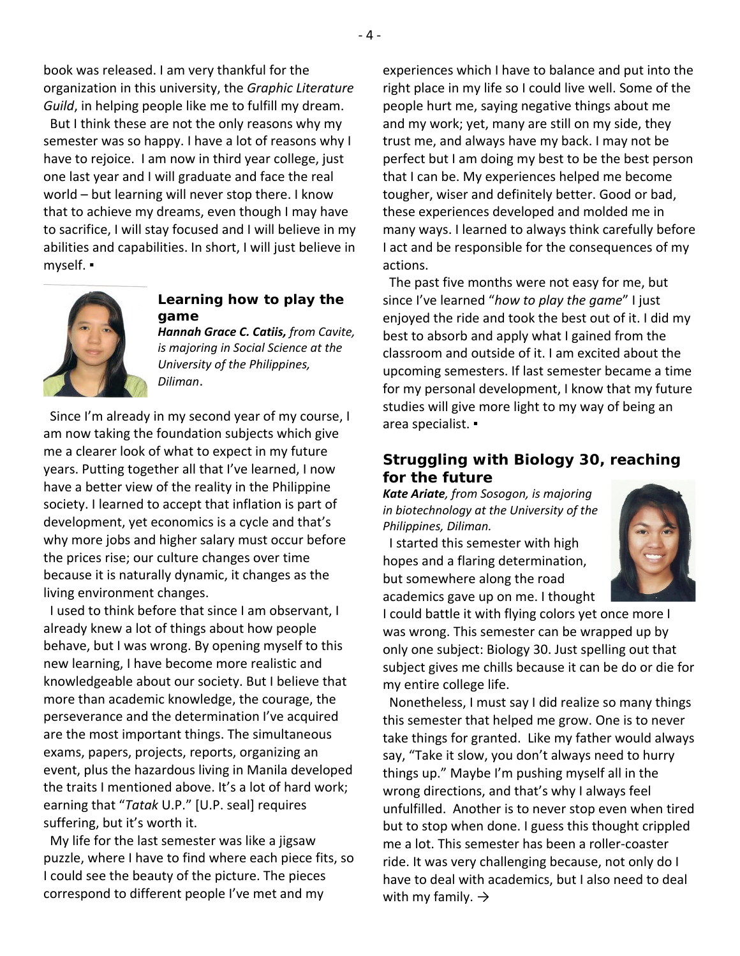book was released. I am very thankful for the organization in this university, the *Graphic Literature Guild*, in helping people like me to fulfill my dream.

But I think these are not the only reasons why my semester was so happy. I have a lot of reasons why I have to rejoice. I am now in third year college, just one last year and I will graduate and face the real world – but learning will never stop there. I know that to achieve my dreams, even though I may have to sacrifice, I will stay focused and I will believe in my abilities and capabilities. In short, I will just believe in myself. ▪



#### **Learning how to play the game**

*Hannah Grace C. Catiis, from Cavite, is majoring in Social Science at the University of the Philippines, Diliman*.

 Since I'm already in my second year of my course, I am now taking the foundation subjects which give me a clearer look of what to expect in my future years. Putting together all that I've learned, I now have a better view of the reality in the Philippine society. I learned to accept that inflation is part of development, yet economics is a cycle and that's why more jobs and higher salary must occur before the prices rise; our culture changes over time because it is naturally dynamic, it changes as the living environment changes.

 I used to think before that since I am observant, I already knew a lot of things about how people behave, but I was wrong. By opening myself to this new learning, I have become more realistic and knowledgeable about our society. But I believe that more than academic knowledge, the courage, the perseverance and the determination I've acquired are the most important things. The simultaneous exams, papers, projects, reports, organizing an event, plus the hazardous living in Manila developed the traits I mentioned above. It's a lot of hard work; earning that "*Tatak* U.P." [U.P. seal] requires suffering, but it's worth it.

 My life for the last semester was like a jigsaw puzzle, where I have to find where each piece fits, so I could see the beauty of the picture. The pieces correspond to different people I've met and my

experiences which I have to balance and put into the right place in my life so I could live well. Some of the people hurt me, saying negative things about me and my work; yet, many are still on my side, they trust me, and always have my back. I may not be perfect but I am doing my best to be the best person that I can be. My experiences helped me become tougher, wiser and definitely better. Good or bad, these experiences developed and molded me in many ways. I learned to always think carefully before I act and be responsible for the consequences of my actions.

 The past five months were not easy for me, but since I've learned "*how to play the game*" I just enjoyed the ride and took the best out of it. I did my best to absorb and apply what I gained from the classroom and outside of it. I am excited about the upcoming semesters. If last semester became a time for my personal development, I know that my future studies will give more light to my way of being an area specialist. ▪

### **Struggling with Biology 30, reaching for the future**

*Kate Ariate, from Sosogon, is majoring in biotechnology at the University of the Philippines, Diliman.*

 I started this semester with high hopes and a flaring determination, but somewhere along the road academics gave up on me. I thought



I could battle it with flying colors yet once more I was wrong. This semester can be wrapped up by only one subject: Biology 30. Just spelling out that subject gives me chills because it can be do or die for my entire college life.

 Nonetheless, I must say I did realize so many things this semester that helped me grow. One is to never take things for granted. Like my father would always say, "Take it slow, you don't always need to hurry things up." Maybe I'm pushing myself all in the wrong directions, and that's why I always feel unfulfilled. Another is to never stop even when tired but to stop when done. I guess this thought crippled me a lot. This semester has been a roller-coaster ride. It was very challenging because, not only do I have to deal with academics, but I also need to deal with my family.  $\rightarrow$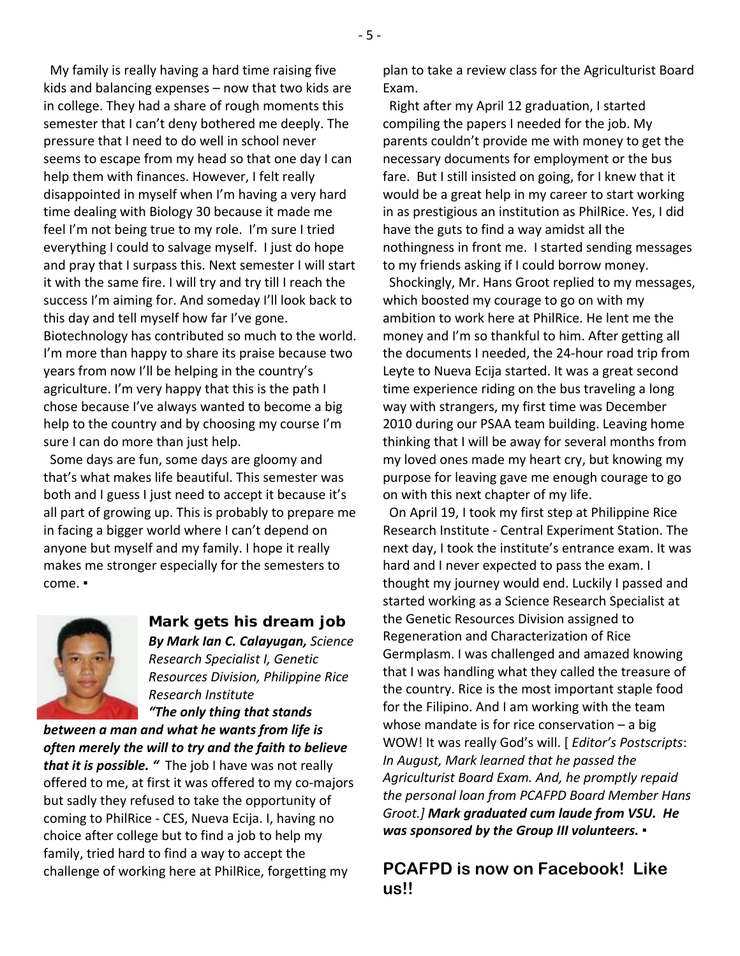My family is really having a hard time raising five kids and balancing expenses – now that two kids are in college. They had a share of rough moments this semester that I can't deny bothered me deeply. The pressure that I need to do well in school never seems to escape from my head so that one day I can help them with finances. However, I felt really disappointed in myself when I'm having a very hard time dealing with Biology 30 because it made me feel I'm not being true to my role. I'm sure I tried everything I could to salvage myself. I just do hope and pray that I surpass this. Next semester I will start it with the same fire. I will try and try till I reach the success I'm aiming for. And someday I'll look back to this day and tell myself how far I've gone. Biotechnology has contributed so much to the world. I'm more than happy to share its praise because two years from now I'll be helping in the country's agriculture. I'm very happy that this is the path I chose because I've always wanted to become a big help to the country and by choosing my course I'm sure I can do more than just help.

 Some days are fun, some days are gloomy and that's what makes life beautiful. This semester was both and I guess I just need to accept it because it's all part of growing up. This is probably to prepare me in facing a bigger world where I can't depend on anyone but myself and my family. I hope it really makes me stronger especially for the semesters to come. ▪



**Mark gets his dream job** *By Mark Ian C. Calayugan, Science Research Specialist I, Genetic Resources Division, Philippine Rice Research Institute "The only thing that stands* 

*between a man and what he wants from life is often merely the will to try and the faith to believe that it is possible. "* The job I have was not really offered to me, at first it was offered to my co-majors but sadly they refused to take the opportunity of coming to PhilRice - CES, Nueva Ecija. I, having no choice after college but to find a job to help my family, tried hard to find a way to accept the challenge of working here at PhilRice, forgetting my

plan to take a review class for the Agriculturist Board Exam.

 Right after my April 12 graduation, I started compiling the papers I needed for the job. My parents couldn't provide me with money to get the necessary documents for employment or the bus fare. But I still insisted on going, for I knew that it would be a great help in my career to start working in as prestigious an institution as PhilRice. Yes, I did have the guts to find a way amidst all the nothingness in front me. I started sending messages to my friends asking if I could borrow money.

Shockingly, Mr. Hans Groot replied to my messages, which boosted my courage to go on with my ambition to work here at PhilRice. He lent me the money and I'm so thankful to him. After getting all the documents I needed, the 24-hour road trip from Leyte to Nueva Ecija started. It was a great second time experience riding on the bus traveling a long way with strangers, my first time was December 2010 during our PSAA team building. Leaving home thinking that I will be away for several months from my loved ones made my heart cry, but knowing my purpose for leaving gave me enough courage to go on with this next chapter of my life.

On April 19, I took my first step at Philippine Rice Research Institute - Central Experiment Station. The next day, I took the institute's entrance exam. It was hard and I never expected to pass the exam. I thought my journey would end. Luckily I passed and started working as a Science Research Specialist at the Genetic Resources Division assigned to Regeneration and Characterization of Rice Germplasm. I was challenged and amazed knowing that I was handling what they called the treasure of the country. Rice is the most important staple food for the Filipino. And I am working with the team whose mandate is for rice conservation – a big WOW! It was really God's will. [ *Editor's Postscripts*: *In August, Mark learned that he passed the Agriculturist Board Exam. And, he promptly repaid the personal loan from PCAFPD Board Member Hans Groot.] Mark graduated cum laude from VSU. He was sponsored by the Group III volunteers. ▪*

**PCAFPD is now on Facebook! Like us!!**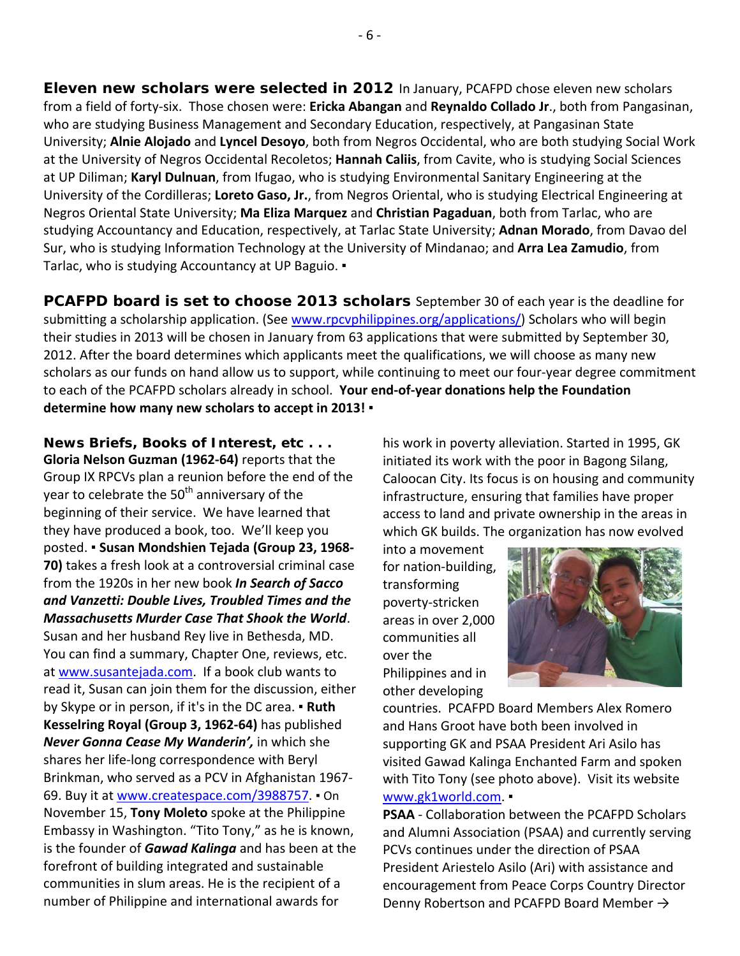**Eleven new scholars were selected in 2012** In January, PCAFPD chose eleven new scholars from a field of forty-six. Those chosen were: **Ericka Abangan** and **Reynaldo Collado Jr**., both from Pangasinan, who are studying Business Management and Secondary Education, respectively, at Pangasinan State University; **Alnie Alojado** and **Lyncel Desoyo**, both from Negros Occidental, who are both studying Social Work at the University of Negros Occidental Recoletos; **Hannah Caliis**, from Cavite, who is studying Social Sciences at UP Diliman; **Karyl Dulnuan**, from Ifugao, who is studying Environmental Sanitary Engineering at the University of the Cordilleras; **Loreto Gaso, Jr.**, from Negros Oriental, who is studying Electrical Engineering at Negros Oriental State University; **Ma Eliza Marquez** and **Christian Pagaduan**, both from Tarlac, who are studying Accountancy and Education, respectively, at Tarlac State University; **Adnan Morado**, from Davao del Sur, who is studying Information Technology at the University of Mindanao; and **Arra Lea Zamudio**, from Tarlac, who is studying Accountancy at UP Baguio. •

**PCAFPD board is set to choose 2013 scholars** September 30 of each year is the deadline for submitting a scholarship application. (See [www.rpcvphilippines.org/applications/\)](http://www.rpcvphilippines.org/applications/) Scholars who will begin their studies in 2013 will be chosen in January from 63 applications that were submitted by September 30, 2012. After the board determines which applicants meet the qualifications, we will choose as many new scholars as our funds on hand allow us to support, while continuing to meet our four-year degree commitment to each of the PCAFPD scholars already in school. **Your end-of-year donations help the Foundation determine how many new scholars to accept in 2013! ▪**

**News Briefs, Books of Interest, etc . . . Gloria Nelson Guzman (1962-64)** reports that the Group IX RPCVs plan a reunion before the end of the year to celebrate the 50<sup>th</sup> anniversary of the beginning of their service. We have learned that they have produced a book, too. We'll keep you posted. ▪ **Susan Mondshien Tejada (Group 23, 1968- 70)** takes a fresh look at a controversial criminal case from the 1920s in her new book *In Search of Sacco and Vanzetti: Double Lives, Troubled Times and the Massachusetts Murder Case That Shook the World*. Susan and her husband Rey live in Bethesda, MD. You can find a summary, Chapter One, reviews, etc. at [www.susantejada.com.](http://www.susantejada.com/) If a book club wants to read it, Susan can join them for the discussion, either by Skype or in person, if it's in the DC area. ▪ **Ruth Kesselring Royal (Group 3, 1962-64)** has published *Never Gonna Cease My Wanderin',* in which she shares her life-long correspondence with Beryl Brinkman, who served as a PCV in Afghanistan 1967- 69. Buy it at [www.createspace.com/3988757.](http://www.createspace.com/3988757) ▪ On November 15, **Tony Moleto** spoke at the Philippine Embassy in Washington. "Tito Tony," as he is known, is the founder of *Gawad Kalinga* and has been at the forefront of building integrated and sustainable communities in slum areas. He is the recipient of a number of Philippine and international awards for

his work in poverty alleviation. Started in 1995, GK initiated its work with the poor in Bagong Silang, Caloocan City. Its focus is on housing and community infrastructure, ensuring that families have proper access to land and private ownership in the areas in which GK builds. The organization has now evolved

into a movement for nation-building, transforming poverty-stricken areas in over 2,000 communities all over the Philippines and in other developing



countries. PCAFPD Board Members Alex Romero and Hans Groot have both been involved in supporting GK and PSAA President Ari Asilo has visited Gawad Kalinga Enchanted Farm and spoken with Tito Tony (see photo above). Visit its website [www.gk1world.com.](http://www.gk1world.com/) ▪

**PSAA** - Collaboration between the PCAFPD Scholars and Alumni Association (PSAA) and currently serving PCVs continues under the direction of PSAA President Ariestelo Asilo (Ari) with assistance and encouragement from Peace Corps Country Director Denny Robertson and PCAFPD Board Member →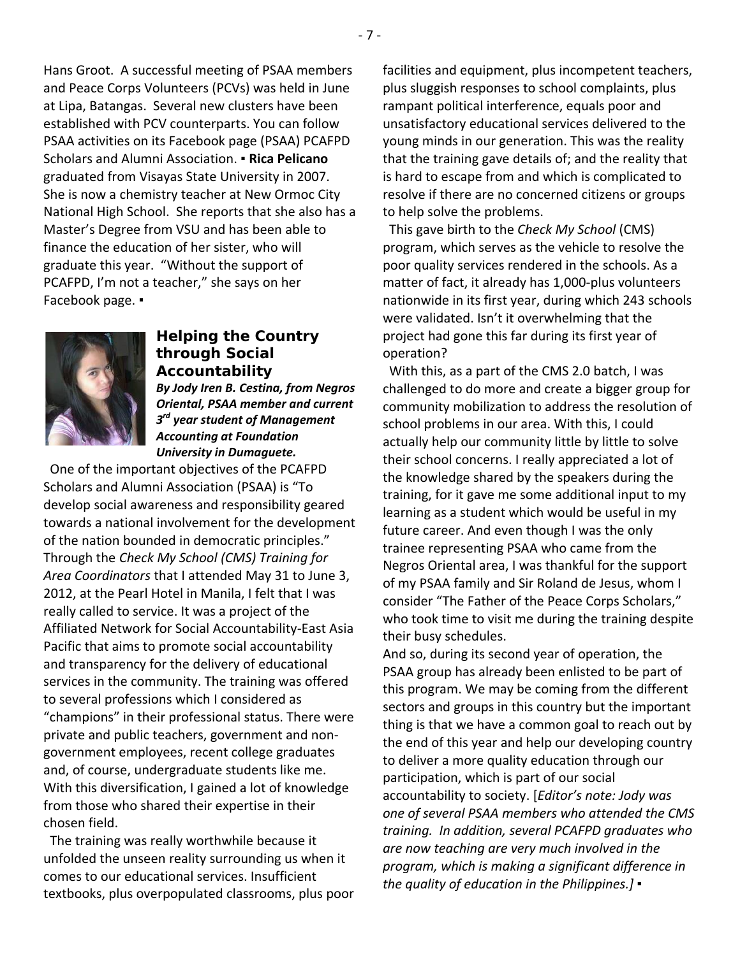Hans Groot. A successful meeting of PSAA members and Peace Corps Volunteers (PCVs) was held in June at Lipa, Batangas. Several new clusters have been established with PCV counterparts. You can follow PSAA activities on its Facebook page (PSAA) PCAFPD Scholars and Alumni Association. ▪ **Rica Pelicano** graduated from Visayas State University in 2007. She is now a chemistry teacher at New Ormoc City National High School. She reports that she also has a Master's Degree from VSU and has been able to finance the education of her sister, who will graduate this year. "Without the support of PCAFPD, I'm not a teacher," she says on her Facebook page. ▪



## **Helping the Country through Social Accountability**

*By Jody Iren B. Cestina, from Negros Oriental, PSAA member and current 3rd year student of Management Accounting at Foundation University in Dumaguete.*

 One of the important objectives of the PCAFPD Scholars and Alumni Association (PSAA) is "To develop social awareness and responsibility geared towards a national involvement for the development of the nation bounded in democratic principles." Through the *Check My School (CMS) Training for Area Coordinators* that I attended May 31 to June 3, 2012, at the Pearl Hotel in Manila, I felt that I was really called to service. It was a project of the Affiliated Network for Social Accountability-East Asia Pacific that aims to promote social accountability and transparency for the delivery of educational services in the community. The training was offered to several professions which I considered as "champions" in their professional status. There were private and public teachers, government and nongovernment employees, recent college graduates and, of course, undergraduate students like me. With this diversification, I gained a lot of knowledge from those who shared their expertise in their chosen field.

 The training was really worthwhile because it unfolded the unseen reality surrounding us when it comes to our educational services. Insufficient textbooks, plus overpopulated classrooms, plus poor facilities and equipment, plus incompetent teachers, plus sluggish responses to school complaints, plus rampant political interference, equals poor and unsatisfactory educational services delivered to the young minds in our generation. This was the reality that the training gave details of; and the reality that is hard to escape from and which is complicated to resolve if there are no concerned citizens or groups to help solve the problems.

 This gave birth to the *Check My School* (CMS) program, which serves as the vehicle to resolve the poor quality services rendered in the schools. As a matter of fact, it already has 1,000-plus volunteers nationwide in its first year, during which 243 schools were validated. Isn't it overwhelming that the project had gone this far during its first year of operation?

 With this, as a part of the CMS 2.0 batch, I was challenged to do more and create a bigger group for community mobilization to address the resolution of school problems in our area. With this, I could actually help our community little by little to solve their school concerns. I really appreciated a lot of the knowledge shared by the speakers during the training, for it gave me some additional input to my learning as a student which would be useful in my future career. And even though I was the only trainee representing PSAA who came from the Negros Oriental area, I was thankful for the support of my PSAA family and Sir Roland de Jesus, whom I consider "The Father of the Peace Corps Scholars," who took time to visit me during the training despite their busy schedules.

And so, during its second year of operation, the PSAA group has already been enlisted to be part of this program. We may be coming from the different sectors and groups in this country but the important thing is that we have a common goal to reach out by the end of this year and help our developing country to deliver a more quality education through our participation, which is part of our social accountability to society. [*Editor's note: Jody was one of several PSAA members who attended the CMS training. In addition, several PCAFPD graduates who are now teaching are very much involved in the program, which is making a significant difference in the quality of education in the Philippines.]* ▪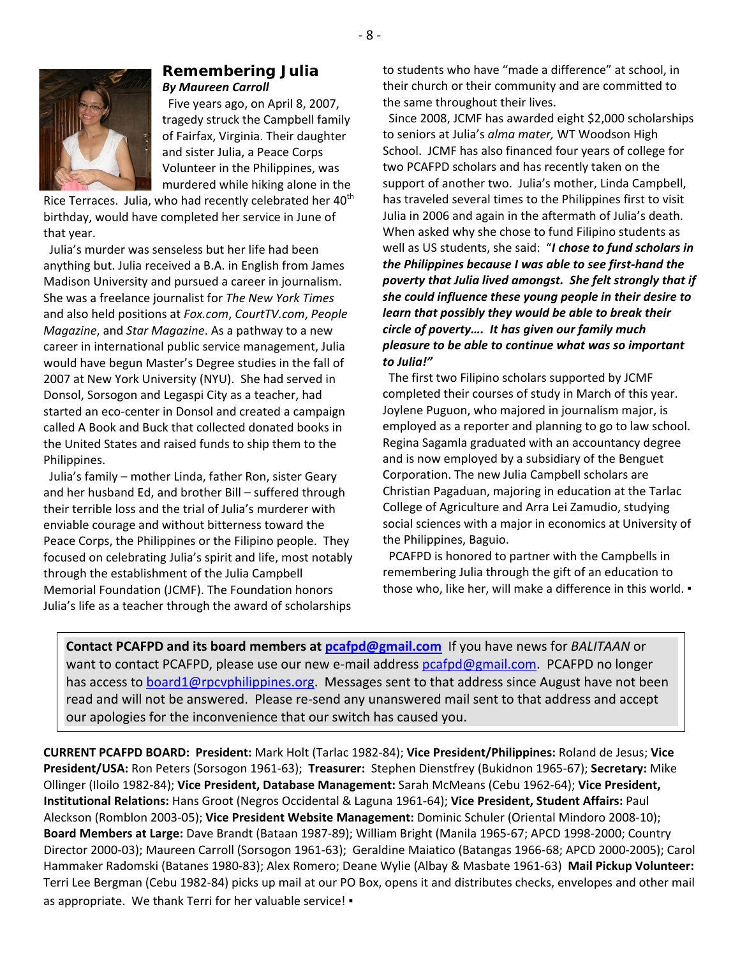

#### **Remembering Julia** *By Maureen Carroll*

 Five years ago, on April 8, 2007, tragedy struck the Campbell family of Fairfax, Virginia. Their daughter and sister Julia, a Peace Corps Volunteer in the Philippines, was murdered while hiking alone in the

Rice Terraces. Julia, who had recently celebrated her 40<sup>th</sup> birthday, would have completed her service in June of that year.

 Julia's murder was senseless but her life had been anything but. Julia received a B.A. in English from James Madison University and pursued a career in journalism. She was a freelance journalist for *The New York Times* and also held positions at *Fox.com*, *CourtTV.com*, *People Magazine*, and *Star Magazine*. As a pathway to a new career in international public service management, Julia would have begun Master's Degree studies in the fall of 2007 at New York University (NYU). She had served in Donsol, Sorsogon and Legaspi City as a teacher, had started an eco-center in Donsol and created a campaign called A Book and Buck that collected donated books in the United States and raised funds to ship them to the Philippines.

 Julia's family – mother Linda, father Ron, sister Geary and her husband Ed, and brother Bill – suffered through their terrible loss and the trial of Julia's murderer with enviable courage and without bitterness toward the Peace Corps, the Philippines or the Filipino people. They focused on celebrating Julia's spirit and life, most notably through the establishment of the Julia Campbell Memorial Foundation (JCMF). The Foundation honors Julia's life as a teacher through the award of scholarships

to students who have "made a difference" at school, in their church or their community and are committed to the same throughout their lives.

 Since 2008, JCMF has awarded eight \$2,000 scholarships to seniors at Julia's *alma mater,* WT Woodson High School. JCMF has also financed four years of college for two PCAFPD scholars and has recently taken on the support of another two. Julia's mother, Linda Campbell, has traveled several times to the Philippines first to visit Julia in 2006 and again in the aftermath of Julia's death. When asked why she chose to fund Filipino students as well as US students, she said: "*I chose to fund scholars in the Philippines because I was able to see first-hand the poverty that Julia lived amongst. She felt strongly that if she could influence these young people in their desire to learn that possibly they would be able to break their circle of poverty…. It has given our family much pleasure to be able to continue what was so important to Julia!"*

 The first two Filipino scholars supported by JCMF completed their courses of study in March of this year. Joylene Puguon, who majored in journalism major, is employed as a reporter and planning to go to law school. Regina Sagamla graduated with an accountancy degree and is now employed by a subsidiary of the Benguet Corporation. The new Julia Campbell scholars are Christian Pagaduan, majoring in education at the Tarlac College of Agriculture and Arra Lei Zamudio, studying social sciences with a major in economics at University of the Philippines, Baguio.

 PCAFPD is honored to partner with the Campbells in remembering Julia through the gift of an education to those who, like her, will make a difference in this world. ▪

**Contact PCAFPD and its board members at [pcafpd@gmail.com](mailto:pcafpd@gmail.com)** If you have news for *BALITAAN* or want to contact PCAFPD, please use our new e-mail address [pcafpd@gmail.com.](mailto:pcafpd@gmail.com) PCAFPD no longer has access to [board1@rpcvphilippines.org.](mailto:board1@rpcvphilippines.org) Messages sent to that address since August have not been read and will not be answered. Please re-send any unanswered mail sent to that address and accept our apologies for the inconvenience that our switch has caused you.

**CURRENT PCAFPD BOARD: President:** Mark Holt (Tarlac 1982-84); **Vice President/Philippines:** Roland de Jesus; **Vice President/USA:** Ron Peters (Sorsogon 1961-63); **Treasurer:** Stephen Dienstfrey (Bukidnon 1965-67); **Secretary:** Mike Ollinger (Iloilo 1982-84); **Vice President, Database Management:** Sarah McMeans (Cebu 1962-64); **Vice President, Institutional Relations:** Hans Groot (Negros Occidental & Laguna 1961-64); **Vice President, Student Affairs:** Paul Aleckson (Romblon 2003-05); **Vice President Website Management:** Dominic Schuler (Oriental Mindoro 2008-10); **Board Members at Large:** Dave Brandt (Bataan 1987-89); William Bright (Manila 1965-67; APCD 1998-2000; Country Director 2000-03); Maureen Carroll (Sorsogon 1961-63); Geraldine Maiatico (Batangas 1966-68; APCD 2000-2005); Carol Hammaker Radomski (Batanes 1980-83); Alex Romero; Deane Wylie (Albay & Masbate 1961-63) **Mail Pickup Volunteer:** Terri Lee Bergman (Cebu 1982-84) picks up mail at our PO Box, opens it and distributes checks, envelopes and other mail as appropriate. We thank Terri for her valuable service! ▪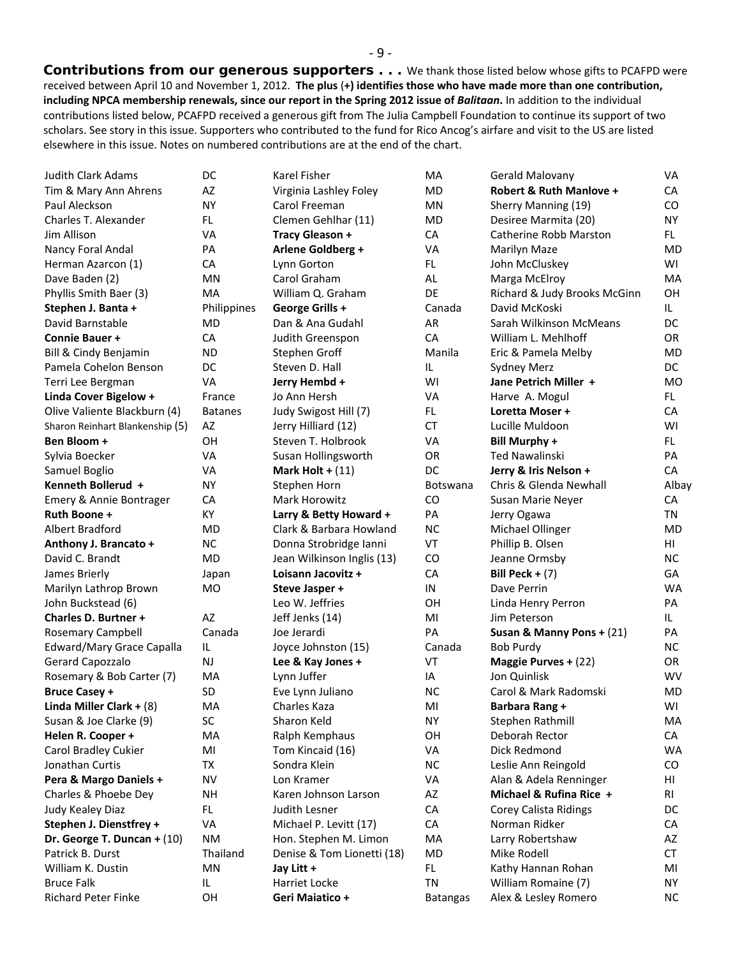*Contributions from our generous supporters* **. . .** We thank those listed below whose gifts to PCAFPD were received between April 10 and November 1, 2012. **The plus** (**+) identifies those who have made more than one contribution, including NPCA membership renewals, since our report in the Spring 2012 issue of** *Balitaan***.** In addition to the individual contributions listed below, PCAFPD received a generous gift from The Julia Campbell Foundation to continue its support of two scholars. See story in this issue. Supporters who contributed to the fund for Rico Ancog's airfare and visit to the US are listed elsewhere in this issue. Notes on numbered contributions are at the end of the chart.

| <b>Judith Clark Adams</b>       | DC             | Karel Fisher               | MA              | Gerald Malovany              | <b>VA</b> |
|---------------------------------|----------------|----------------------------|-----------------|------------------------------|-----------|
| Tim & Mary Ann Ahrens           | AZ             | Virginia Lashley Foley     | MD              | Robert & Ruth Manlove +      | <b>CA</b> |
| Paul Aleckson                   | <b>NY</b>      | Carol Freeman              | MN              | Sherry Manning (19)          | CO        |
| Charles T. Alexander            | FL.            | Clemen Gehlhar (11)        | MD              | Desiree Marmita (20)         | <b>NY</b> |
| Jim Allison                     | VA             | <b>Tracy Gleason +</b>     | CA              | Catherine Robb Marston       | FL.       |
| Nancy Foral Andal               | PA             | Arlene Goldberg +          | VA              | Marilyn Maze                 | MD        |
| Herman Azarcon (1)              | CA             | Lynn Gorton                | FL.             | John McCluskey               | WI        |
| Dave Baden (2)                  | <b>MN</b>      | Carol Graham               | AL              | Marga McElroy                | MA        |
| Phyllis Smith Baer (3)          | <b>MA</b>      | William Q. Graham          | DE              | Richard & Judy Brooks McGinn | OH        |
| Stephen J. Banta +              | Philippines    | George Grills +            | Canada          | David McKoski                | IL.       |
| David Barnstable                | MD             | Dan & Ana Gudahl           | AR              | Sarah Wilkinson McMeans      | DC        |
| <b>Connie Bauer +</b>           | CA             | Judith Greenspon           | CA              | William L. Mehlhoff          | OR        |
| Bill & Cindy Benjamin           | <b>ND</b>      | Stephen Groff              | Manila          | Eric & Pamela Melby          | <b>MD</b> |
| Pamela Cohelon Benson           | <b>DC</b>      | Steven D. Hall             | IL              | <b>Sydney Merz</b>           | DC        |
| Terri Lee Bergman               | <b>VA</b>      | Jerry Hembd +              | WI              | Jane Petrich Miller +        | <b>MO</b> |
| Linda Cover Bigelow +           | France         | Jo Ann Hersh               | VA              | Harve A. Mogul               | FL.       |
| Olive Valiente Blackburn (4)    | <b>Batanes</b> | Judy Swigost Hill (7)      | FL.             | Loretta Moser +              | CA        |
| Sharon Reinhart Blankenship (5) | AZ             | Jerry Hilliard (12)        | <b>CT</b>       | Lucille Muldoon              | WI        |
| Ben Bloom +                     | OН             | Steven T. Holbrook         | VA              | <b>Bill Murphy +</b>         | FL.       |
| Sylvia Boecker                  | VA             | Susan Hollingsworth        | OR              | <b>Ted Nawalinski</b>        | PA        |
| Samuel Boglio                   | VA             | Mark Holt + $(11)$         | DC              | Jerry & Iris Nelson +        | CA        |
| Kenneth Bollerud +              | <b>NY</b>      | Stephen Horn               | Botswana        | Chris & Glenda Newhall       | Albay     |
| Emery & Annie Bontrager         | CA             | Mark Horowitz              | CO              | Susan Marie Neyer            | CA        |
| Ruth Boone +                    | KY             | Larry & Betty Howard +     | PA              | Jerry Ogawa                  | ΤN        |
| Albert Bradford                 | MD             | Clark & Barbara Howland    | <b>NC</b>       | Michael Ollinger             | MD        |
| Anthony J. Brancato +           | <b>NC</b>      | Donna Strobridge Ianni     | VT              | Phillip B. Olsen             | HI        |
| David C. Brandt                 | MD             | Jean Wilkinson Inglis (13) | CO              | Jeanne Ormsby                | <b>NC</b> |
| James Brierly                   | Japan          | Loisann Jacovitz +         | CA              | Bill Peck + $(7)$            | GA        |
| Marilyn Lathrop Brown           | <b>MO</b>      | Steve Jasper +             | IN              | Dave Perrin                  | <b>WA</b> |
| John Buckstead (6)              |                | Leo W. Jeffries            | 0H              | Linda Henry Perron           | PA        |
| <b>Charles D. Burtner +</b>     | AZ             | Jeff Jenks (14)            | MI              | Jim Peterson                 | IL.       |
| Rosemary Campbell               | Canada         | Joe Jerardi                | PA              | Susan & Manny Pons + (21)    | PA        |
| Edward/Mary Grace Capalla       | IL             | Joyce Johnston (15)        | Canada          | Bob Purdy                    | <b>NC</b> |
| Gerard Capozzalo                | <b>NJ</b>      | Lee & Kay Jones +          | VT              | Maggie Purves + (22)         | <b>OR</b> |
| Rosemary & Bob Carter (7)       | MA             | Lynn Juffer                | IA              | Jon Quinlisk                 | <b>WV</b> |
| <b>Bruce Casey +</b>            | <b>SD</b>      | Eve Lynn Juliano           | <b>NC</b>       | Carol & Mark Radomski        | MD        |
| Linda Miller Clark + $(8)$      | MA             | Charles Kaza               | MI              | Barbara Rang +               | WI        |
| Susan & Joe Clarke (9)          | SC             | Sharon Keld                | <b>NY</b>       | Stephen Rathmill             | MA        |
| Helen R. Cooper +               | MA             | Ralph Kemphaus             | OH              | Deborah Rector               | CA        |
| Carol Bradley Cukier            | MI             | Tom Kincaid (16)           | VA              | Dick Redmond                 | <b>WA</b> |
| Jonathan Curtis                 | TX             | Sondra Klein               | <b>NC</b>       | Leslie Ann Reingold          | CO        |
| Pera & Margo Daniels +          | <b>NV</b>      | Lon Kramer                 | VA              | Alan & Adela Renninger       | HI        |
| Charles & Phoebe Dey            | <b>NH</b>      | Karen Johnson Larson       | AZ              | Michael & Rufina Rice +      | RI        |
| Judy Kealey Diaz                | FL.            | Judith Lesner              | CA              | Corey Calista Ridings        | DC        |
| Stephen J. Dienstfrey +         | <b>VA</b>      | Michael P. Levitt (17)     | CA              | Norman Ridker                | CA        |
| Dr. George T. Duncan + $(10)$   | <b>NM</b>      | Hon. Stephen M. Limon      | MA              | Larry Robertshaw             | AZ        |
| Patrick B. Durst                | Thailand       | Denise & Tom Lionetti (18) | MD              | Mike Rodell                  | <b>CT</b> |
| William K. Dustin               | MN             | Jay Litt +                 | FL.             | Kathy Hannan Rohan           | MI        |
| <b>Bruce Falk</b>               | IL.            | Harriet Locke              | TN              | William Romaine (7)          | <b>NY</b> |
| <b>Richard Peter Finke</b>      | OН             | Geri Maiatico +            | <b>Batangas</b> | Alex & Lesley Romero         | <b>NC</b> |
|                                 |                |                            |                 |                              |           |